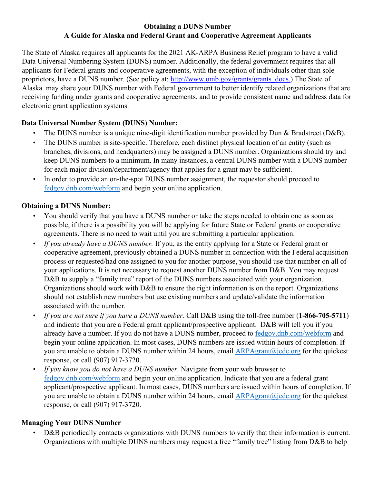## **Obtaining a DUNS Number A Guide for Alaska and Federal Grant and Cooperative Agreement Applicants**

The State of Alaska requires all applicants for the 2021 AK-ARPA Business Relief program to have a valid Data Universal Numbering System (DUNS) number. Additionally, the federal government requires that all applicants for Federal grants and cooperative agreements, with the exception of individuals other than sole proprietors, have a DUNS number. (See policy at: [http://www.omb.gov/grants/grants\\_docs.\)](http://www.whitehouse.gov/omb/grants/grants_docs.html) The State of Alaska may share your DUNS number with Federal government to better identify related organizations that are receiving funding under grants and cooperative agreements, and to provide consistent name and address data for electronic grant application systems.

# **Data Universal Number System (DUNS) Number:**

- The DUNS number is a unique nine-digit identification number provided by Dun & Bradstreet (D&B).
- The DUNS number is site-specific. Therefore, each distinct physical location of an entity (such as branches, divisions, and headquarters) may be assigned a DUNS number. Organizations should try and keep DUNS numbers to a minimum. In many instances, a central DUNS number with a DUNS number for each major division/department/agency that applies for a grant may be sufficient.
- In order to provide an on-the-spot DUNS number assignment, the requestor should proceed to [fedgov.dnb.com/webform](https://fedgov.dnb.com/webform/) and begin your online application.

## **Obtaining a DUNS Number:**

- You should verify that you have a DUNS number or take the steps needed to obtain one as soon as possible, if there is a possibility you will be applying for future State or Federal grants or cooperative agreements. There is no need to wait until you are submitting a particular application.
- *If you already have a DUNS number.* If you, as the entity applying for a State or Federal grant or cooperative agreement, previously obtained a DUNS number in connection with the Federal acquisition process or requested/had one assigned to you for another purpose, you should use that number on all of your applications. It is not necessary to request another DUNS number from D&B. You may request D&B to supply a "family tree" report of the DUNS numbers associated with your organization. Organizations should work with D&B to ensure the right information is on the report. Organizations should not establish new numbers but use existing numbers and update/validate the information associated with the number.
- *If you are not sure if you have a DUNS number.* Call D&B using the toll-free number (**1-866-705-5711**) and indicate that you are a Federal grant applicant/prospective applicant. D&B will tell you if you already have a number. If you do not have a DUNS number, proceed to [fedgov.dnb.com/webform](https://fedgov.dnb.com/webform/) and begin your online application. In most cases, DUNS numbers are issued within hours of completion. If you are unable to obtain a DUNS number within 24 hours, email  $ARPAgrant@jede.org$  for the quickest response, or call (907) 917-3720.
- *If you know you do not have a DUNS number.* Navigate from your web browser to [fedgov.dnb.com/webform](https://fedgov.dnb.com/webform/) and begin your online application. Indicate that you are a federal grant applicant/prospective applicant. In most cases, DUNS numbers are issued within hours of completion. If you are unable to obtain a DUNS number within 24 hours, email  $ARPAgrant@jede.org$  for the quickest response, or call (907) 917-3720.

## **Managing Your DUNS Number**

D&B periodically contacts organizations with DUNS numbers to verify that their information is current. Organizations with multiple DUNS numbers may request a free "family tree" listing from D&B to help